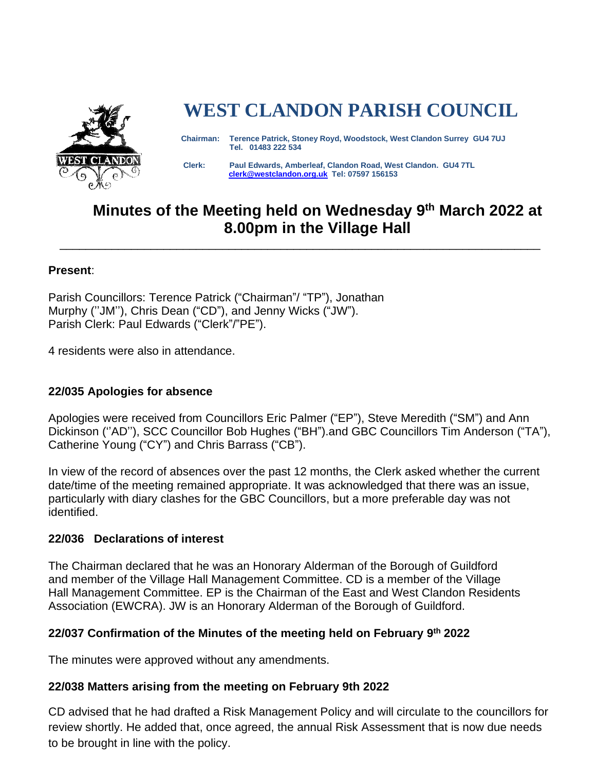

# **WEST CLANDON PARISH COUNCIL**

 **Chairman: Terence Patrick, Stoney Royd, Woodstock, West Clandon Surrey GU4 7UJ Tel. 01483 222 534** 

 **Clerk: Paul Edwards, Amberleaf, Clandon Road, West Clandon. GU4 7TL [clerk@westclandon.org.uk](mailto:clerk@westclandon.org.uk) Tel: 07597 156153**

# **Minutes of the Meeting held on Wednesday 9 th March 2022 at 8.00pm in the Village Hall**

\_\_\_\_\_\_\_\_\_\_\_\_\_\_\_\_\_\_\_\_\_\_\_\_\_\_\_\_\_\_\_\_\_\_\_\_\_\_\_\_\_\_\_\_\_\_\_\_\_\_\_\_\_\_\_\_\_\_\_\_\_\_\_\_\_\_\_\_\_\_\_\_\_\_

#### **Present**:

Parish Councillors: Terence Patrick ("Chairman"/ "TP"), Jonathan Murphy (''JM''), Chris Dean ("CD"), and Jenny Wicks ("JW"). Parish Clerk: Paul Edwards ("Clerk"/"PE").

4 residents were also in attendance.

# **22/035 Apologies for absence**

Apologies were received from Councillors Eric Palmer ("EP"), Steve Meredith ("SM") and Ann Dickinson (''AD''), SCC Councillor Bob Hughes ("BH").and GBC Councillors Tim Anderson ("TA"), Catherine Young ("CY") and Chris Barrass ("CB").

In view of the record of absences over the past 12 months, the Clerk asked whether the current date/time of the meeting remained appropriate. It was acknowledged that there was an issue, particularly with diary clashes for the GBC Councillors, but a more preferable day was not identified.

#### **22/036 Declarations of interest**

The Chairman declared that he was an Honorary Alderman of the Borough of Guildford and member of the Village Hall Management Committee. CD is a member of the Village Hall Management Committee. EP is the Chairman of the East and West Clandon Residents Association (EWCRA). JW is an Honorary Alderman of the Borough of Guildford.

#### **22/037 Confirmation of the Minutes of the meeting held on February 9 th 2022**

The minutes were approved without any amendments.

#### **22/038 Matters arising from the meeting on February 9th 2022**

CD advised that he had drafted a Risk Management Policy and will circulate to the councillors for review shortly. He added that, once agreed, the annual Risk Assessment that is now due needs to be brought in line with the policy.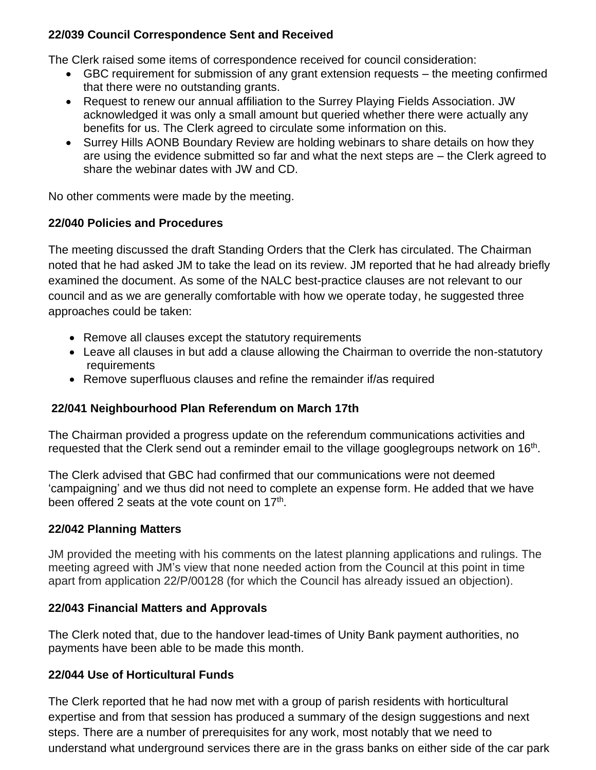# **22/039 Council Correspondence Sent and Received**

The Clerk raised some items of correspondence received for council consideration:

- GBC requirement for submission of any grant extension requests the meeting confirmed that there were no outstanding grants.
- Request to renew our annual affiliation to the Surrey Playing Fields Association. JW acknowledged it was only a small amount but queried whether there were actually any benefits for us. The Clerk agreed to circulate some information on this.
- Surrey Hills AONB Boundary Review are holding webinars to share details on how they are using the evidence submitted so far and what the next steps are – the Clerk agreed to share the webinar dates with JW and CD.

No other comments were made by the meeting.

# **22/040 Policies and Procedures**

The meeting discussed the draft Standing Orders that the Clerk has circulated. The Chairman noted that he had asked JM to take the lead on its review. JM reported that he had already briefly examined the document. As some of the NALC best-practice clauses are not relevant to our council and as we are generally comfortable with how we operate today, he suggested three approaches could be taken:

- Remove all clauses except the statutory requirements
- Leave all clauses in but add a clause allowing the Chairman to override the non-statutory requirements
- Remove superfluous clauses and refine the remainder if/as required

# **22/041 Neighbourhood Plan Referendum on March 17th**

The Chairman provided a progress update on the referendum communications activities and requested that the Clerk send out a reminder email to the village googlegroups network on  $16<sup>th</sup>$ .

The Clerk advised that GBC had confirmed that our communications were not deemed 'campaigning' and we thus did not need to complete an expense form. He added that we have been offered 2 seats at the vote count on 17<sup>th</sup>.

# **22/042 Planning Matters**

JM provided the meeting with his comments on the latest planning applications and rulings. The meeting agreed with JM's view that none needed action from the Council at this point in time apart from application 22/P/00128 (for which the Council has already issued an objection).

# **22/043 Financial Matters and Approvals**

The Clerk noted that, due to the handover lead-times of Unity Bank payment authorities, no payments have been able to be made this month.

# **22/044 Use of Horticultural Funds**

The Clerk reported that he had now met with a group of parish residents with horticultural expertise and from that session has produced a summary of the design suggestions and next steps. There are a number of prerequisites for any work, most notably that we need to understand what underground services there are in the grass banks on either side of the car park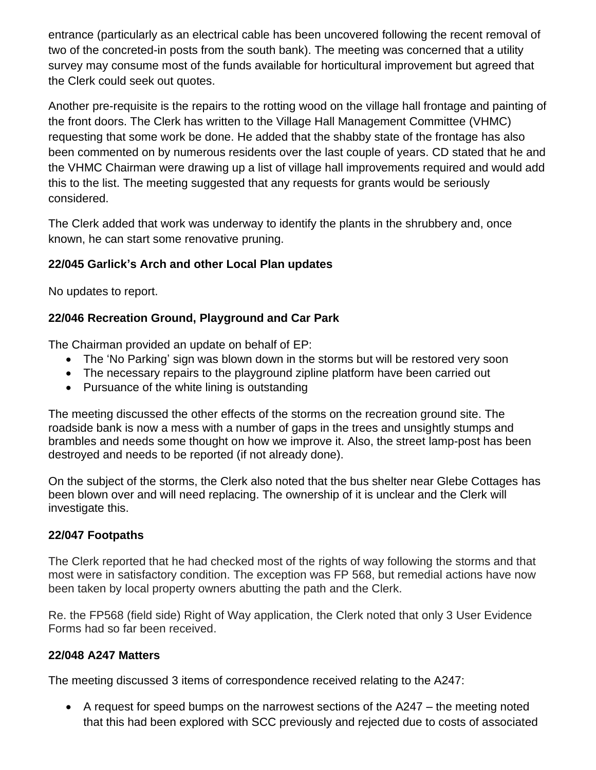entrance (particularly as an electrical cable has been uncovered following the recent removal of two of the concreted-in posts from the south bank). The meeting was concerned that a utility survey may consume most of the funds available for horticultural improvement but agreed that the Clerk could seek out quotes.

Another pre-requisite is the repairs to the rotting wood on the village hall frontage and painting of the front doors. The Clerk has written to the Village Hall Management Committee (VHMC) requesting that some work be done. He added that the shabby state of the frontage has also been commented on by numerous residents over the last couple of years. CD stated that he and the VHMC Chairman were drawing up a list of village hall improvements required and would add this to the list. The meeting suggested that any requests for grants would be seriously considered.

The Clerk added that work was underway to identify the plants in the shrubbery and, once known, he can start some renovative pruning.

# **22/045 Garlick's Arch and other Local Plan updates**

No updates to report.

# **22/046 Recreation Ground, Playground and Car Park**

The Chairman provided an update on behalf of EP:

- The 'No Parking' sign was blown down in the storms but will be restored very soon
- The necessary repairs to the playground zipline platform have been carried out
- Pursuance of the white lining is outstanding

The meeting discussed the other effects of the storms on the recreation ground site. The roadside bank is now a mess with a number of gaps in the trees and unsightly stumps and brambles and needs some thought on how we improve it. Also, the street lamp-post has been destroyed and needs to be reported (if not already done).

On the subject of the storms, the Clerk also noted that the bus shelter near Glebe Cottages has been blown over and will need replacing. The ownership of it is unclear and the Clerk will investigate this.

# **22/047 Footpaths**

The Clerk reported that he had checked most of the rights of way following the storms and that most were in satisfactory condition. The exception was FP 568, but remedial actions have now been taken by local property owners abutting the path and the Clerk.

Re. the FP568 (field side) Right of Way application, the Clerk noted that only 3 User Evidence Forms had so far been received.

# **22/048 A247 Matters**

The meeting discussed 3 items of correspondence received relating to the A247:

• A request for speed bumps on the narrowest sections of the A247 – the meeting noted that this had been explored with SCC previously and rejected due to costs of associated